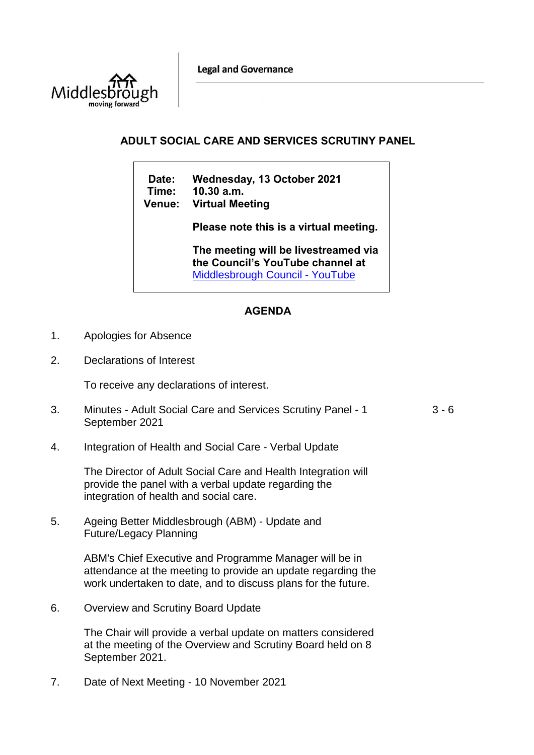**Legal and Governance** 



## **ADULT SOCIAL CARE AND SERVICES SCRUTINY PANEL**

**Date: Wednesday, 13 October 2021 Time: 10.30 a.m. Venue: Virtual Meeting**

**Please note this is a virtual meeting.** 

**The meeting will be livestreamed via the Council's YouTube channel at**  [Middlesbrough Council -](https://www.youtube.com/user/middlesbroughcouncil) YouTube

## **AGENDA**

- 1. Apologies for Absence
- 2. Declarations of Interest

To receive any declarations of interest.

- 3. Minutes Adult Social Care and Services Scrutiny Panel 1 September 2021  $3 - 6$
- 4. Integration of Health and Social Care Verbal Update

The Director of Adult Social Care and Health Integration will provide the panel with a verbal update regarding the integration of health and social care.

5. Ageing Better Middlesbrough (ABM) - Update and Future/Legacy Planning

> ABM's Chief Executive and Programme Manager will be in attendance at the meeting to provide an update regarding the work undertaken to date, and to discuss plans for the future.

6. Overview and Scrutiny Board Update

The Chair will provide a verbal update on matters considered at the meeting of the Overview and Scrutiny Board held on 8 September 2021.

7. Date of Next Meeting - 10 November 2021